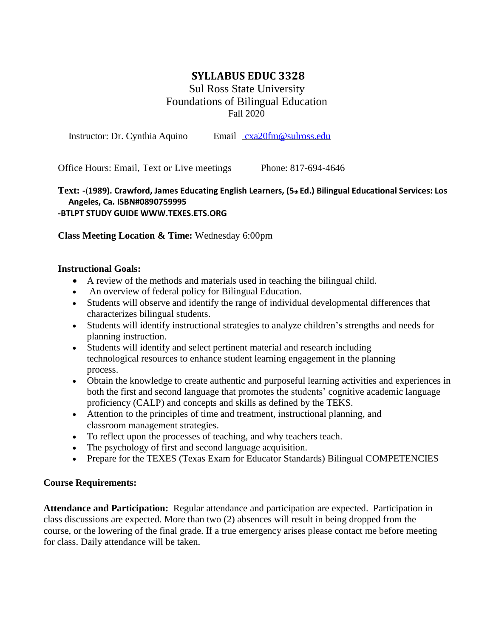# **SYLLABUS EDUC 3328**

Sul Ross State University Foundations of Bilingual Education Fall 2020

Instructor: Dr. Cynthia Aquino Email [cxa20fm@sulross.edu](mailto:%20cxa20fm@sulross.edu)

Office Hours: Email, Text or Live meetings Phone: 817-694-4646

## **Text: -**(**1989). Crawford, James Educating English Learners, (5th Ed.) Bilingual Educational Services: Los Angeles, Ca. ISBN#0890759995 -BTLPT STUDY GUIDE WWW.TEXES.ETS.ORG**

## **Class Meeting Location & Time:** Wednesday 6:00pm

### **Instructional Goals:**

- A review of the methods and materials used in teaching the bilingual child.
- An overview of federal policy for Bilingual Education.
- Students will observe and identify the range of individual developmental differences that characterizes bilingual students.
- Students will identify instructional strategies to analyze children's strengths and needs for planning instruction.
- Students will identify and select pertinent material and research including technological resources to enhance student learning engagement in the planning process.
- Obtain the knowledge to create authentic and purposeful learning activities and experiences in both the first and second language that promotes the students' cognitive academic language proficiency (CALP) and concepts and skills as defined by the TEKS.
- Attention to the principles of time and treatment, instructional planning, and classroom management strategies.
- To reflect upon the processes of teaching, and why teachers teach.
- The psychology of first and second language acquisition.
- Prepare for the TEXES (Texas Exam for Educator Standards) Bilingual COMPETENCIES

## **Course Requirements:**

**Attendance and Participation:** Regular attendance and participation are expected. Participation in class discussions are expected. More than two (2) absences will result in being dropped from the course, or the lowering of the final grade. If a true emergency arises please contact me before meeting for class. Daily attendance will be taken.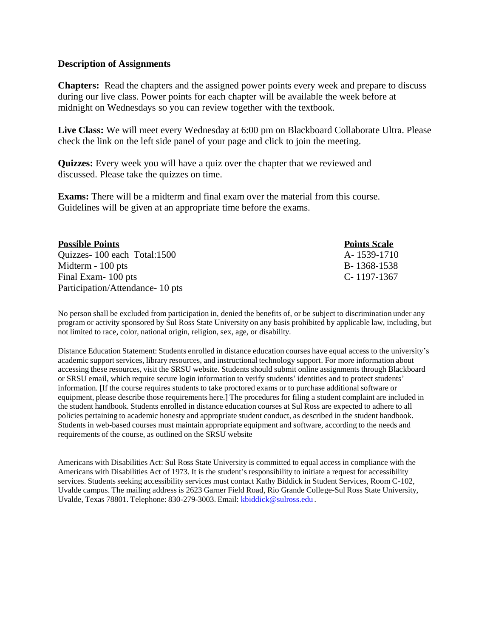#### **Description of Assignments**

**Chapters:** Read the chapters and the assigned power points every week and prepare to discuss during our live class. Power points for each chapter will be available the week before at midnight on Wednesdays so you can review together with the textbook.

**Live Class:** We will meet every Wednesday at 6:00 pm on Blackboard Collaborate Ultra. Please check the link on the left side panel of your page and click to join the meeting.

**Quizzes:** Every week you will have a quiz over the chapter that we reviewed and discussed. Please take the quizzes on time.

**Exams:** There will be a midterm and final exam over the material from this course. Guidelines will be given at an appropriate time before the exams.

| <b>Possible Points</b>          | <b>Points Scale</b> |
|---------------------------------|---------------------|
| Quizzes-100 each Total:1500     | A-1539-1710         |
| Midterm $-100$ pts              | B-1368-1538         |
| Final Exam - 100 pts            | C-1197-1367         |
| Participation/Attendance-10 pts |                     |

No person shall be excluded from participation in, denied the benefits of, or be subject to discrimination under any program or activity sponsored by Sul Ross State University on any basis prohibited by applicable law, including, but not limited to race, color, national origin, religion, sex, age, or disability.

Distance Education Statement: Students enrolled in distance education courses have equal access to the university's academic support services, library resources, and instructionaltechnology support. For more information about accessing these resources, visit the SRSU website. Students should submit online assignments through Blackboard or SRSU email, which require secure login information to verify students' identities and to protect students' information. [If the course requires students to take proctored exams or to purchase additional software or equipment, please describe those requirements here.] The procedures for filing a student complaint are included in the student handbook. Students enrolled in distance education courses at Sul Ross are expected to adhere to all policies pertaining to academic honesty and appropriate student conduct, as described in the student handbook. Students in web-based courses must maintain appropriate equipment and software, according to the needs and requirements of the course, as outlined on the SRSU website

Americans with Disabilities Act: Sul Ross State University is committed to equal access in compliance with the Americans with Disabilities Act of 1973. It is the student's responsibility to initiate a request for accessibility services. Students seeking accessibility services must contact Kathy Biddick in Student Services, Room C-102, Uvalde campus. The mailing address is 2623 Garner Field Road, Rio Grande College-Sul Ross State University, Uvalde, Texas 78801. Telephone: 830-279-3003. Email: [kbiddick@sulross.edu](mailto:kbiddick@sulross.edu) .